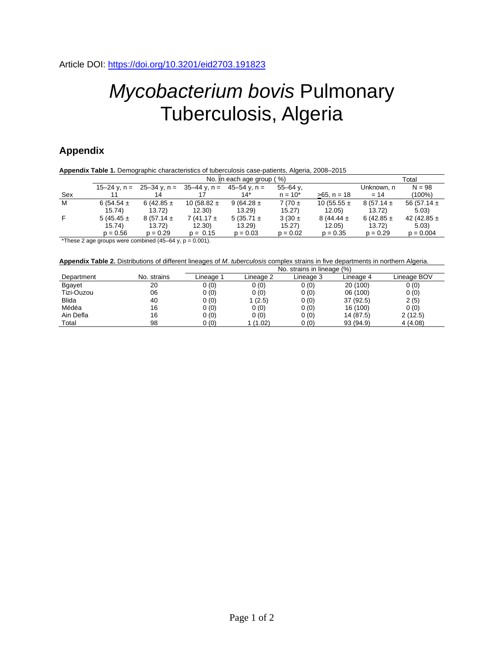## *Mycobacterium bovis* Pulmonary Tuberculosis, Algeria

## **Appendix**

|     |                | Total                                        |                 |                |              |                 |                |                 |
|-----|----------------|----------------------------------------------|-----------------|----------------|--------------|-----------------|----------------|-----------------|
|     |                | $15-24$ y, n = $25-34$ y, n = $35-44$ y, n = |                 | 45–54 v. n =   | $55 - 64$ y. |                 | Unknown, n     | $N = 98$        |
| Sex |                | 14                                           |                 | 14*            | $n = 10^{*}$ | $>65$ , n = 18  | $= 14$         | (100%)          |
| M   | $6(54.54 \pm$  | 6 (42.85 $\pm$                               | 10 (58.82 $\pm$ | 9 (64.28 $\pm$ | $7(70 \pm$   | 10 (55.55 $\pm$ | $8(57.14 \pm$  | 56 (57.14 $\pm$ |
|     | 15.74)         | 13.72                                        | 12.30           | 13.29          | 15.27        | 12.05           | 13.72)         | 5.03            |
| F.  | 5 (45.45 $\pm$ | $8(57.14 \pm$                                | $7(41.17 \pm$   | 5 (35.71 $\pm$ | $3(30 \pm$   | $8(44.44 \pm$   | 6 (42.85 $\pm$ | 42 (42.85 $\pm$ |
|     | 15.74)         | 13.72)                                       | 12.30)          | 13.29          | 15.27)       | 12.05)          | 13.72)         | 5.03            |
|     | $p = 0.56$     | $p = 0.29$                                   | $p = 0.15$      | $p = 0.03$     | $p = 0.02$   | $p = 0.35$      | $p = 0.29$     | $p = 0.004$     |

\*These 2 age groups were combined  $(45-64 \text{ y}, \text{p} = 0.001)$ .

**Appendix Table 2.** Distributions of different lineages of *M. tuberculosis* complex strains in five departments in northern Algeria.

|              |             | No. strains in lineage (%) |           |           |           |             |  |  |
|--------------|-------------|----------------------------|-----------|-----------|-----------|-------------|--|--|
| Department   | No. strains | Lineage 1                  | Lineage 2 | Lineage 3 | Lineage 4 | Lineage BOV |  |  |
| Bgayet       | 20          | 0(0)                       | 0(0)      | 0(0)      | 20 (100)  | 0(0)        |  |  |
| Tizi-Ouzou   | 06          | 0(0)                       | 0(0)      | 0(0)      | 06 (100)  | 0(0)        |  |  |
| <b>Blida</b> | 40          | 0(0)                       | 1(2.5)    | 0(0)      | 37 (92.5) | 2(5)        |  |  |
| Médéa        | 16          | 0(0)                       | 0(0)      | 0(0)      | 16 (100)  | 0(0)        |  |  |
| Ain Defla    | 16          | 0(0)                       | 0(0)      | 0(0)      | 14 (87.5) | 2(12.5)     |  |  |
| Total        | 98          | 0(0)                       | 1 (1.02)  | 0(0)      | 93 (94.9) | 4(4.08)     |  |  |